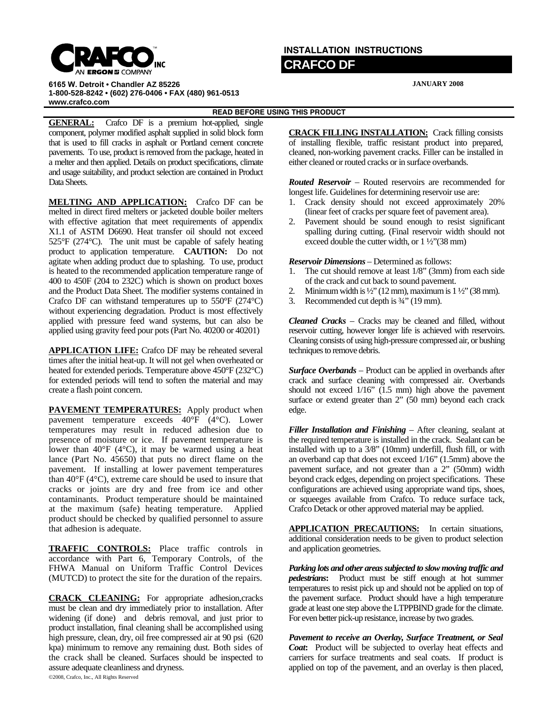

## **INSTALLATION INSTRUCTIONS CRAFCO DF**

**JANUARY 2008**

**6165 W. Detroit • Chandler AZ 85226 1-800-528-8242 • (602) 276-0406 • FAX (480) 961-0513 www.crafco.com**

**READ BEFORE USING THIS PRODUCT** 

**GENERAL:** Crafco DF is a premium hot-applied, single component, polymer modified asphalt supplied in solid block form that is used to fill cracks in asphalt or Portland cement concrete pavements. To use, product is removed from the package, heated in a melter and then applied. Details on product specifications, climate and usage suitability, and product selection are contained in Product Data Sheets.

**MELTING AND APPLICATION:** Crafco DF can be melted in direct fired melters or jacketed double boiler melters with effective agitation that meet requirements of appendix X1.1 of ASTM D6690. Heat transfer oil should not exceed 525°F (274°C). The unit must be capable of safely heating product to application temperature. **CAUTION:** Do not agitate when adding product due to splashing. To use, product is heated to the recommended application temperature range of 400 to 450F (204 to 232C) which is shown on product boxes and the Product Data Sheet. The modifier systems contained in Crafco DF can withstand temperatures up to 550°F (274°C) without experiencing degradation. Product is most effectively applied with pressure feed wand systems, but can also be applied using gravity feed pour pots (Part No. 40200 or 40201)

**APPLICATION LIFE:** Crafco DF may be reheated several times after the initial heat-up. It will not gel when overheated or heated for extended periods. Temperature above 450°F (232°C) for extended periods will tend to soften the material and may create a flash point concern.

**PAVEMENT TEMPERATURES:** Apply product when pavement temperature exceeds 40°F (4°C). Lower temperatures may result in reduced adhesion due to presence of moisture or ice. If pavement temperature is lower than  $40^{\circ}$ F ( $4^{\circ}$ C), it may be warmed using a heat lance (Part No. 45650) that puts no direct flame on the pavement. If installing at lower pavement temperatures than 40°F (4°C), extreme care should be used to insure that cracks or joints are dry and free from ice and other contaminants. Product temperature should be maintained at the maximum (safe) heating temperature. Applied product should be checked by qualified personnel to assure that adhesion is adequate.

**TRAFFIC CONTROLS:** Place traffic controls in accordance with Part 6, Temporary Controls, of the FHWA Manual on Uniform Traffic Control Devices (MUTCD) to protect the site for the duration of the repairs.

**CRACK CLEANING:** For appropriate adhesion,cracks must be clean and dry immediately prior to installation. After widening (if done) and debris removal, and just prior to product installation, final cleaning shall be accomplished using high pressure, clean, dry, oil free compressed air at 90 psi (620 kpa) minimum to remove any remaining dust. Both sides of the crack shall be cleaned. Surfaces should be inspected to assure adequate cleanliness and dryness.

©2008, Crafco, Inc., All Rights Reserved

**CRACK FILLING INSTALLATION:** Crack filling consists of installing flexible, traffic resistant product into prepared, cleaned, non-working pavement cracks. Filler can be installed in either cleaned or routed cracks or in surface overbands.

*Routed Reservoir* – Routed reservoirs are recommended for longest life. Guidelines for determining reservoir use are:

- 1. Crack density should not exceed approximately 20% (linear feet of cracks per square feet of pavement area).
- 2. Pavement should be sound enough to resist significant spalling during cutting. (Final reservoir width should not exceed double the cutter width, or 1 ½"(38 mm)

*Reservoir Dimensions* – Determined as follows:

- 1. The cut should remove at least 1/8" (3mm) from each side of the crack and cut back to sound pavement.
- 2. Minimum width is  $\frac{1}{2}$ " (12 mm), maximum is  $1\frac{1}{2}$ " (38 mm).
- 3. Recommended cut depth is ¾" (19 mm).

*Cleaned Cracks* – Cracks may be cleaned and filled, without reservoir cutting, however longer life is achieved with reservoirs. Cleaning consists of using high-pressure compressed air, or bushing techniques to remove debris.

*Surface Overbands* – Product can be applied in overbands after crack and surface cleaning with compressed air. Overbands should not exceed 1/16" (1.5 mm) high above the pavement surface or extend greater than 2" (50 mm) beyond each crack edge.

*Filler Installation and Finishing* – After cleaning, sealant at the required temperature is installed in the crack. Sealant can be installed with up to a 3/8" (10mm) underfill, flush fill, or with an overband cap that does not exceed 1/16" (1.5mm) above the pavement surface, and not greater than a 2" (50mm) width beyond crack edges, depending on project specifications. These configurations are achieved using appropriate wand tips, shoes, or squeeges available from Crafco. To reduce surface tack, Crafco Detack or other approved material may be applied.

**APPLICATION PRECAUTIONS:** In certain situations, additional consideration needs to be given to product selection and application geometries.

*Parking lots and other areas subjected to slow moving traffic and pedestrians***:** Product must be stiff enough at hot summer temperatures to resist pick up and should not be applied on top of the pavement surface. Product should have a high temperature grade at least one step above the LTPPBIND grade for the climate. For even better pick-up resistance, increase by two grades.

*Pavement to receive an Overlay, Surface Treatment, or Seal Coat***:** Product will be subjected to overlay heat effects and carriers for surface treatments and seal coats. If product is applied on top of the pavement, and an overlay is then placed,